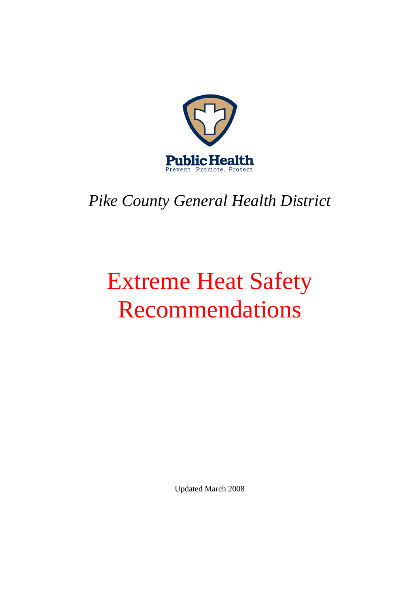

# *Pike County General Health District*

# Extreme Heat Safety Recommendations

Updated March 2008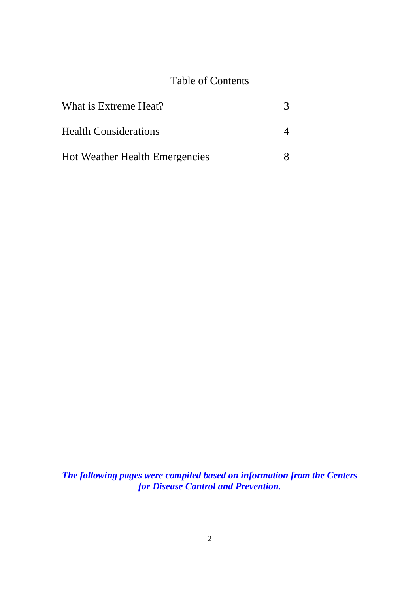# Table of Contents

| What is Extreme Heat?                 |  |  |
|---------------------------------------|--|--|
| <b>Health Considerations</b>          |  |  |
| <b>Hot Weather Health Emergencies</b> |  |  |

*The following pages were compiled based on information from the Centers for Disease Control and Prevention.*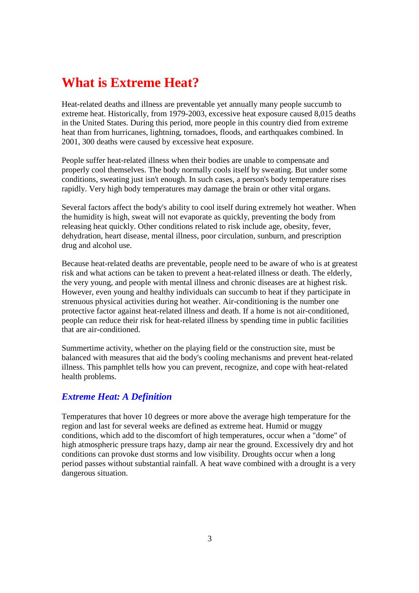# **What is Extreme Heat?**

Heat-related deaths and illness are preventable yet annually many people succumb to extreme heat. Historically, from 1979-2003, excessive heat exposure caused 8,015 deaths in the United States. During this period, more people in this country died from extreme heat than from hurricanes, lightning, tornadoes, floods, and earthquakes combined. In 2001, 300 deaths were caused by excessive heat exposure.

People suffer heat-related illness when their bodies are unable to compensate and properly cool themselves. The body normally cools itself by sweating. But under some conditions, sweating just isn't enough. In such cases, a person's body temperature rises rapidly. Very high body temperatures may damage the brain or other vital organs.

Several factors affect the body's ability to cool itself during extremely hot weather. When the humidity is high, sweat will not evaporate as quickly, preventing the body from releasing heat quickly. Other conditions related to risk include age, obesity, fever, dehydration, heart disease, mental illness, poor circulation, sunburn, and prescription drug and alcohol use.

Because heat-related deaths are preventable, people need to be aware of who is at greatest risk and what actions can be taken to prevent a heat-related illness or death. The elderly, the very young, and people with mental illness and chronic diseases are at highest risk. However, even young and healthy individuals can succumb to heat if they participate in strenuous physical activities during hot weather. Air-conditioning is the number one protective factor against heat-related illness and death. If a home is not air-conditioned, people can reduce their risk for heat-related illness by spending time in public facilities that are air-conditioned.

Summertime activity, whether on the playing field or the construction site, must be balanced with measures that aid the body's cooling mechanisms and prevent heat-related illness. This pamphlet tells how you can prevent, recognize, and cope with heat-related health problems.

#### *Extreme Heat: A Definition*

Temperatures that hover 10 degrees or more above the average high temperature for the region and last for several weeks are defined as extreme heat. Humid or muggy conditions, which add to the discomfort of high temperatures, occur when a "dome" of high atmospheric pressure traps hazy, damp air near the ground. Excessively dry and hot conditions can provoke dust storms and low visibility. Droughts occur when a long period passes without substantial rainfall. A heat wave combined with a drought is a very dangerous situation.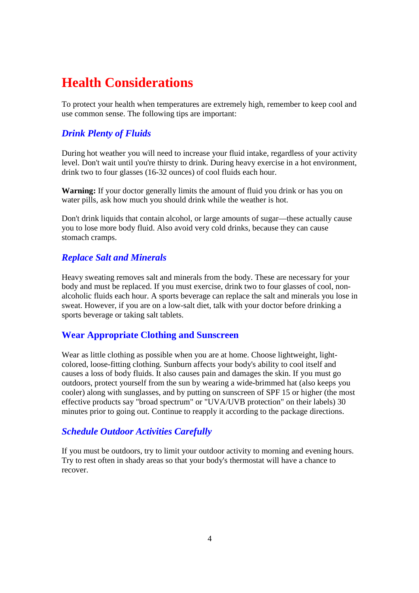# **Health Considerations**

To protect your health when temperatures are extremely high, remember to keep cool and use common sense. The following tips are important:

## *Drink Plenty of Fluids*

During hot weather you will need to increase your fluid intake, regardless of your activity level. Don't wait until you're thirsty to drink. During heavy exercise in a hot environment, drink two to four glasses (16-32 ounces) of cool fluids each hour.

**Warning:** If your doctor generally limits the amount of fluid you drink or has you on water pills, ask how much you should drink while the weather is hot.

Don't drink liquids that contain alcohol, or large amounts of sugar—these actually cause you to lose more body fluid. Also avoid very cold drinks, because they can cause stomach cramps.

#### *Replace Salt and Minerals*

Heavy sweating removes salt and minerals from the body. These are necessary for your body and must be replaced. If you must exercise, drink two to four glasses of cool, nonalcoholic fluids each hour. A sports beverage can replace the salt and minerals you lose in sweat. However, if you are on a low-salt diet, talk with your doctor before drinking a sports beverage or taking salt tablets.

#### **Wear Appropriate Clothing and Sunscreen**

Wear as little clothing as possible when you are at home. Choose lightweight, lightcolored, loose-fitting clothing. Sunburn affects your body's ability to cool itself and causes a loss of body fluids. It also causes pain and damages the skin. If you must go outdoors, protect yourself from the sun by wearing a wide-brimmed hat (also keeps you cooler) along with sunglasses, and by putting on sunscreen of SPF 15 or higher (the most effective products say "broad spectrum" or "UVA/UVB protection" on their labels) 30 minutes prior to going out. Continue to reapply it according to the package directions.

#### *Schedule Outdoor Activities Carefully*

If you must be outdoors, try to limit your outdoor activity to morning and evening hours. Try to rest often in shady areas so that your body's thermostat will have a chance to recover.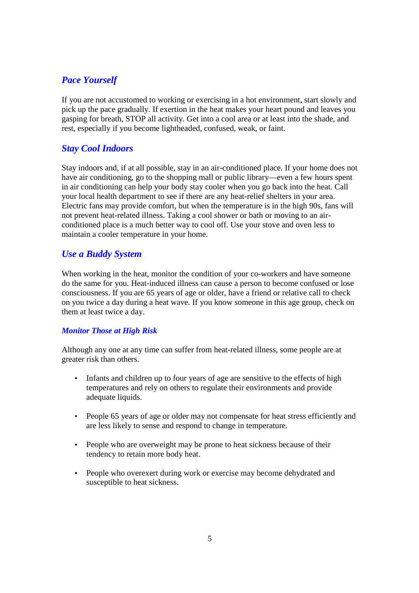## *Pace Yourself*

If you are not accustomed to working or exercising in a hot environment, start slowly and pick up the pace gradually. If exertion in the heat makes your heart pound and leaves you gasping for breath, STOP all activity. Get into a cool area or at least into the shade, and rest, especially if you become lightheaded, confused, weak, or faint.

## *Stay Cool Indoors*

Stay indoors and, if at all possible, stay in an air-conditioned place. If your home does not have air conditioning, go to the shopping mall or public library—even a few hours spent in air conditioning can help your body stay cooler when you go back into the heat. Call your local health department to see if there are any heat-relief shelters in your area. Electric fans may provide comfort, but when the temperature is in the high 90s, fans will not prevent heat-related illness. Taking a cool shower or bath or moving to an airconditioned place is a much better way to cool off. Use your stove and oven less to maintain a cooler temperature in your home.

## *Use a Buddy System*

When working in the heat, monitor the condition of your co-workers and have someone do the same for you. Heat-induced illness can cause a person to become confused or lose consciousness. If you are 65 years of age or older, have a friend or relative call to check on you twice a day during a heat wave. If you know someone in this age group, check on them at least twice a day.

#### *Monitor Those at High Risk*

Although any one at any time can suffer from heat-related illness, some people are at greater risk than others.

- Infants and children up to four years of age are sensitive to the effects of high temperatures and rely on others to regulate their environments and provide adequate liquids.
- People 65 years of age or older may not compensate for heat stress efficiently and are less likely to sense and respond to change in temperature.
- People who are overweight may be prone to heat sickness because of their tendency to retain more body heat.
- People who overexert during work or exercise may become dehydrated and susceptible to heat sickness.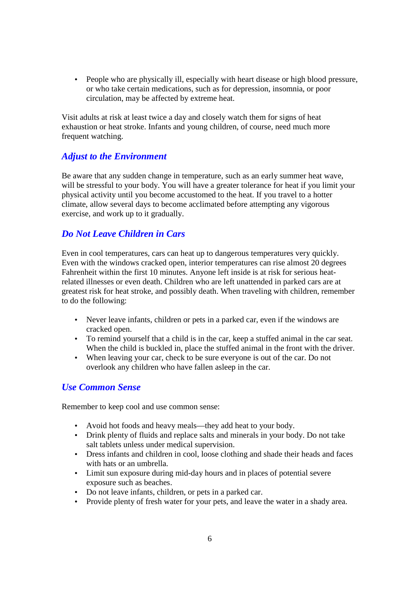• People who are physically ill, especially with heart disease or high blood pressure, or who take certain medications, such as for depression, insomnia, or poor circulation, may be affected by extreme heat.

Visit adults at risk at least twice a day and closely watch them for signs of heat exhaustion or heat stroke. Infants and young children, of course, need much more frequent watching.

# *Adjust to the Environment*

Be aware that any sudden change in temperature, such as an early summer heat wave, will be stressful to your body. You will have a greater tolerance for heat if you limit your physical activity until you become accustomed to the heat. If you travel to a hotter climate, allow several days to become acclimated before attempting any vigorous exercise, and work up to it gradually.

# *Do Not Leave Children in Cars*

Even in cool temperatures, cars can heat up to dangerous temperatures very quickly. Even with the windows cracked open, interior temperatures can rise almost 20 degrees Fahrenheit within the first 10 minutes. Anyone left inside is at risk for serious heatrelated illnesses or even death. Children who are left unattended in parked cars are at greatest risk for heat stroke, and possibly death. When traveling with children, remember to do the following:

- Never leave infants, children or pets in a parked car, even if the windows are cracked open.
- To remind yourself that a child is in the car, keep a stuffed animal in the car seat. When the child is buckled in, place the stuffed animal in the front with the driver.
- When leaving your car, check to be sure everyone is out of the car. Do not overlook any children who have fallen asleep in the car.

#### *Use Common Sense*

Remember to keep cool and use common sense:

- Avoid hot foods and heavy meals—they add heat to your body.
- Drink plenty of fluids and replace salts and minerals in your body. Do not take salt tablets unless under medical supervision.
- Dress infants and children in cool, loose clothing and shade their heads and faces with hats or an umbrella.
- Limit sun exposure during mid-day hours and in places of potential severe exposure such as beaches.
- Do not leave infants, children, or pets in a parked car.
- Provide plenty of fresh water for your pets, and leave the water in a shady area.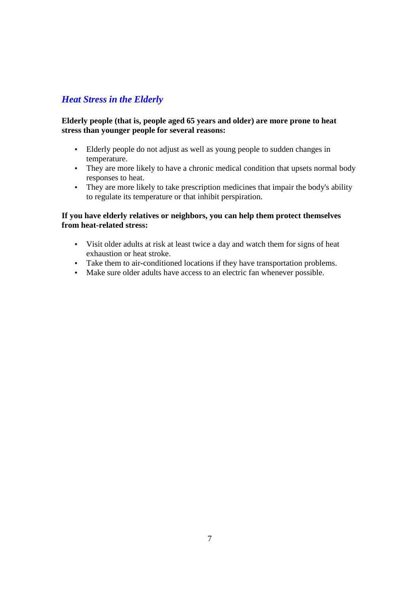# *Heat Stress in the Elderly*

#### **Elderly people (that is, people aged 65 years and older) are more prone to heat stress than younger people for several reasons:**

- Elderly people do not adjust as well as young people to sudden changes in temperature.
- They are more likely to have a chronic medical condition that upsets normal body responses to heat.
- They are more likely to take prescription medicines that impair the body's ability to regulate its temperature or that inhibit perspiration.

#### **If you have elderly relatives or neighbors, you can help them protect themselves from heat-related stress:**

- Visit older adults at risk at least twice a day and watch them for signs of heat exhaustion or heat stroke.
- Take them to air-conditioned locations if they have transportation problems.
- Make sure older adults have access to an electric fan whenever possible.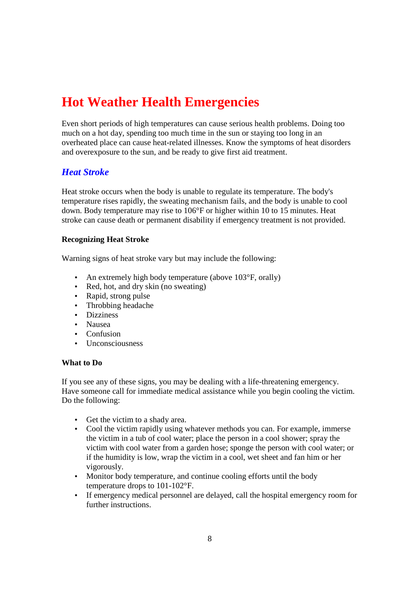# **Hot Weather Health Emergencies**

Even short periods of high temperatures can cause serious health problems. Doing too much on a hot day, spending too much time in the sun or staying too long in an overheated place can cause heat-related illnesses. Know the symptoms of heat disorders and overexposure to the sun, and be ready to give first aid treatment.

# *Heat Stroke*

Heat stroke occurs when the body is unable to regulate its temperature. The body's temperature rises rapidly, the sweating mechanism fails, and the body is unable to cool down. Body temperature may rise to 106°F or higher within 10 to 15 minutes. Heat stroke can cause death or permanent disability if emergency treatment is not provided.

#### **Recognizing Heat Stroke**

Warning signs of heat stroke vary but may include the following:

- An extremely high body temperature (above 103°F, orally)
- Red, hot, and dry skin (no sweating)
- Rapid, strong pulse
- Throbbing headache
- Dizziness
- Nausea
- Confusion
- Unconsciousness

#### **What to Do**

If you see any of these signs, you may be dealing with a life-threatening emergency. Have someone call for immediate medical assistance while you begin cooling the victim. Do the following:

- Get the victim to a shady area.
- Cool the victim rapidly using whatever methods you can. For example, immerse the victim in a tub of cool water; place the person in a cool shower; spray the victim with cool water from a garden hose; sponge the person with cool water; or if the humidity is low, wrap the victim in a cool, wet sheet and fan him or her vigorously.
- Monitor body temperature, and continue cooling efforts until the body temperature drops to 101-102°F.
- If emergency medical personnel are delayed, call the hospital emergency room for further instructions.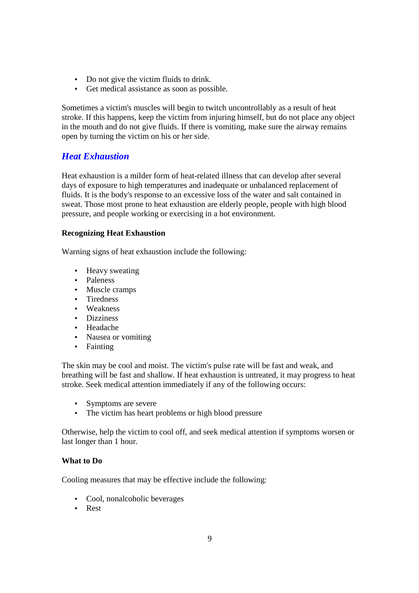- Do not give the victim fluids to drink.
- Get medical assistance as soon as possible.

Sometimes a victim's muscles will begin to twitch uncontrollably as a result of heat stroke. If this happens, keep the victim from injuring himself, but do not place any object in the mouth and do not give fluids. If there is vomiting, make sure the airway remains open by turning the victim on his or her side.

# *Heat Exhaustion*

Heat exhaustion is a milder form of heat-related illness that can develop after several days of exposure to high temperatures and inadequate or unbalanced replacement of fluids. It is the body's response to an excessive loss of the water and salt contained in sweat. Those most prone to heat exhaustion are elderly people, people with high blood pressure, and people working or exercising in a hot environment.

#### **Recognizing Heat Exhaustion**

Warning signs of heat exhaustion include the following:

- Heavy sweating
- Paleness
- Muscle cramps
- Tiredness
- Weakness
- Dizziness
- Headache
- Nausea or vomiting
- Fainting

The skin may be cool and moist. The victim's pulse rate will be fast and weak, and breathing will be fast and shallow. If heat exhaustion is untreated, it may progress to heat stroke. Seek medical attention immediately if any of the following occurs:

- Symptoms are severe
- The victim has heart problems or high blood pressure

Otherwise, help the victim to cool off, and seek medical attention if symptoms worsen or last longer than 1 hour.

#### **What to Do**

Cooling measures that may be effective include the following:

- Cool, nonalcoholic beverages
- Rest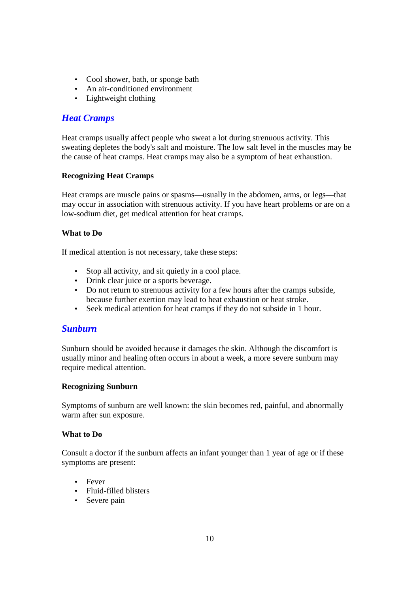- Cool shower, bath, or sponge bath
- An air-conditioned environment
- Lightweight clothing

### *Heat Cramps*

Heat cramps usually affect people who sweat a lot during strenuous activity. This sweating depletes the body's salt and moisture. The low salt level in the muscles may be the cause of heat cramps. Heat cramps may also be a symptom of heat exhaustion.

#### **Recognizing Heat Cramps**

Heat cramps are muscle pains or spasms—usually in the abdomen, arms, or legs—that may occur in association with strenuous activity. If you have heart problems or are on a low-sodium diet, get medical attention for heat cramps.

#### **What to Do**

If medical attention is not necessary, take these steps:

- Stop all activity, and sit quietly in a cool place.
- Drink clear juice or a sports beverage.
- Do not return to strenuous activity for a few hours after the cramps subside, because further exertion may lead to heat exhaustion or heat stroke.
- Seek medical attention for heat cramps if they do not subside in 1 hour.

#### *Sunburn*

Sunburn should be avoided because it damages the skin. Although the discomfort is usually minor and healing often occurs in about a week, a more severe sunburn may require medical attention.

#### **Recognizing Sunburn**

Symptoms of sunburn are well known: the skin becomes red, painful, and abnormally warm after sun exposure.

#### **What to Do**

Consult a doctor if the sunburn affects an infant younger than 1 year of age or if these symptoms are present:

- Fever
- Fluid-filled blisters
- Severe pain